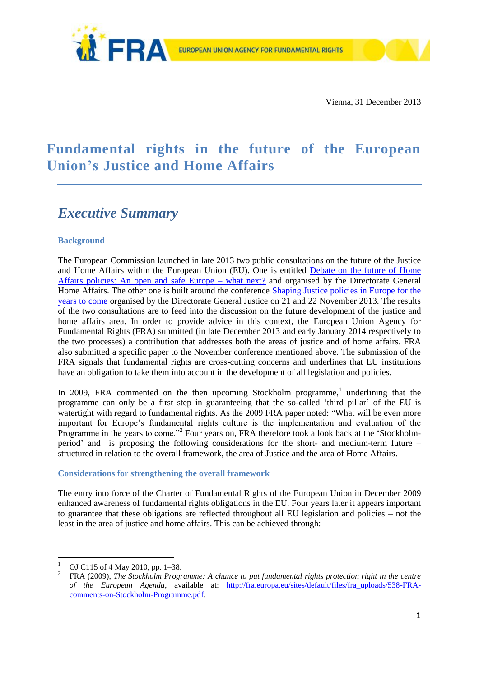

# **Fundamental rights in the future of the European Union's Justice and Home Affairs**

# *Executive Summary*

## **Background**

The European Commission launched in late 2013 two public consultations on the future of the Justice and Home Affairs within the European Union (EU). One is entitled [Debate on the future of Home](http://ec.europa.eu/dgs/home-affairs/what-is-new/public-consultation/2013/consulting_0027_en.htm)  [Affairs policies: An open and safe Europe –](http://ec.europa.eu/dgs/home-affairs/what-is-new/public-consultation/2013/consulting_0027_en.htm) what next? and organised by the Directorate General Home Affairs. The other one is built around the conference [Shaping Justice policies in Europe for the](http://ec.europa.eu/justice/events/assises-justice-2013/index_en.htm)  [years to come](http://ec.europa.eu/justice/events/assises-justice-2013/index_en.htm) organised by the Directorate General Justice on 21 and 22 November 2013. The results of the two consultations are to feed into the discussion on the future development of the justice and home affairs area. In order to provide advice in this context, the European Union Agency for Fundamental Rights (FRA) submitted (in late December 2013 and early January 2014 respectively to the two processes) a contribution that addresses both the areas of justice and of home affairs. FRA also submitted a specific paper to the November conference mentioned above. The submission of the FRA signals that fundamental rights are cross-cutting concerns and underlines that EU institutions have an obligation to take them into account in the development of all legislation and policies.

In 2009, FRA commented on the then upcoming Stockholm programme,<sup>1</sup> underlining that the programme can only be a first step in guaranteeing that the so-called 'third pillar' of the EU is watertight with regard to fundamental rights. As the 2009 FRA paper noted: "What will be even more important for Europe's fundamental rights culture is the implementation and evaluation of the Programme in the years to come."<sup>2</sup> Four years on, FRA therefore took a look back at the 'Stockholmperiod' and is proposing the following considerations for the short- and medium-term future – structured in relation to the overall framework, the area of Justice and the area of Home Affairs.

#### **Considerations for strengthening the overall framework**

The entry into force of the Charter of Fundamental Rights of the European Union in December 2009 enhanced awareness of fundamental rights obligations in the EU. Four years later it appears important to guarantee that these obligations are reflected throughout all EU legislation and policies – not the least in the area of justice and home affairs. This can be achieved through:

1

OJ C115 of 4 May 2010, pp. 1-38.

<sup>2</sup> FRA (2009), *The Stockholm Programme: A chance to put fundamental rights protection right in the centre of the European Agenda*, available at: [http://fra.europa.eu/sites/default/files/fra\\_uploads/538-FRA](http://fra.europa.eu/sites/default/files/fra_uploads/538-FRA-comments-on-Stockholm-Programme.pdf)[comments-on-Stockholm-Programme.pdf.](http://fra.europa.eu/sites/default/files/fra_uploads/538-FRA-comments-on-Stockholm-Programme.pdf)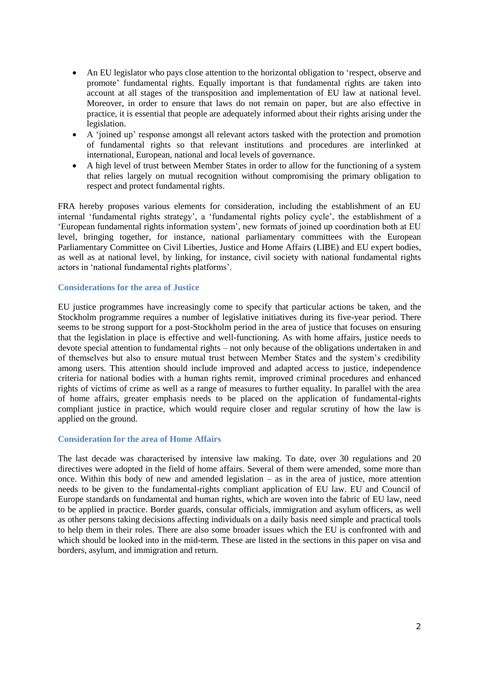- An EU legislator who pays close attention to the horizontal obligation to 'respect, observe and promote' fundamental rights. Equally important is that fundamental rights are taken into account at all stages of the transposition and implementation of EU law at national level. Moreover, in order to ensure that laws do not remain on paper, but are also effective in practice, it is essential that people are adequately informed about their rights arising under the legislation.
- A 'joined up' response amongst all relevant actors tasked with the protection and promotion of fundamental rights so that relevant institutions and procedures are interlinked at international, European, national and local levels of governance.
- A high level of trust between Member States in order to allow for the functioning of a system that relies largely on mutual recognition without compromising the primary obligation to respect and protect fundamental rights.

FRA hereby proposes various elements for consideration, including the establishment of an EU internal 'fundamental rights strategy', a 'fundamental rights policy cycle', the establishment of a 'European fundamental rights information system', new formats of joined up coordination both at EU level, bringing together, for instance, national parliamentary committees with the European Parliamentary Committee on Civil Liberties, Justice and Home Affairs (LIBE) and EU expert bodies, as well as at national level, by linking, for instance, civil society with national fundamental rights actors in 'national fundamental rights platforms'.

#### **Considerations for the area of Justice**

EU justice programmes have increasingly come to specify that particular actions be taken, and the Stockholm programme requires a number of legislative initiatives during its five-year period. There seems to be strong support for a post-Stockholm period in the area of justice that focuses on ensuring that the legislation in place is effective and well-functioning. As with home affairs, justice needs to devote special attention to fundamental rights – not only because of the obligations undertaken in and of themselves but also to ensure mutual trust between Member States and the system's credibility among users. This attention should include improved and adapted access to justice, independence criteria for national bodies with a human rights remit, improved criminal procedures and enhanced rights of victims of crime as well as a range of measures to further equality. In parallel with the area of home affairs, greater emphasis needs to be placed on the application of fundamental-rights compliant justice in practice, which would require closer and regular scrutiny of how the law is applied on the ground.

#### **Consideration for the area of Home Affairs**

The last decade was characterised by intensive law making. To date, over 30 regulations and 20 directives were adopted in the field of home affairs. Several of them were amended, some more than once. Within this body of new and amended legislation – as in the area of justice, more attention needs to be given to the fundamental-rights compliant application of EU law. EU and Council of Europe standards on fundamental and human rights, which are woven into the fabric of EU law, need to be applied in practice. Border guards, consular officials, immigration and asylum officers, as well as other persons taking decisions affecting individuals on a daily basis need simple and practical tools to help them in their roles. There are also some broader issues which the EU is confronted with and which should be looked into in the mid-term. These are listed in the sections in this paper on visa and borders, asylum, and immigration and return.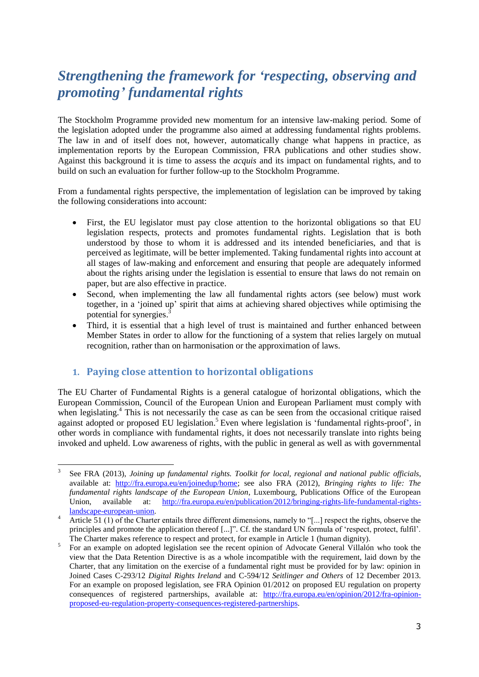# *Strengthening the framework for 'respecting, observing and promoting' fundamental rights*

The Stockholm Programme provided new momentum for an intensive law-making period. Some of the legislation adopted under the programme also aimed at addressing fundamental rights problems. The law in and of itself does not, however, automatically change what happens in practice, as implementation reports by the European Commission, FRA publications and other studies show. Against this background it is time to assess the *acquis* and its impact on fundamental rights, and to build on such an evaluation for further follow-up to the Stockholm Programme.

From a fundamental rights perspective, the implementation of legislation can be improved by taking the following considerations into account:

- First, the EU legislator must pay close attention to the horizontal obligations so that EU legislation respects, protects and promotes fundamental rights. Legislation that is both understood by those to whom it is addressed and its intended beneficiaries, and that is perceived as legitimate, will be better implemented. Taking fundamental rights into account at all stages of law-making and enforcement and ensuring that people are adequately informed about the rights arising under the legislation is essential to ensure that laws do not remain on paper, but are also effective in practice.
- Second, when implementing the law all fundamental rights actors (see below) must work together, in a 'joined up' spirit that aims at achieving shared objectives while optimising the potential for synergies.<sup>3</sup>
- Third, it is essential that a high level of trust is maintained and further enhanced between Member States in order to allow for the functioning of a system that relies largely on mutual recognition, rather than on harmonisation or the approximation of laws.

# **1. Paying close attention to horizontal obligations**

The EU Charter of Fundamental Rights is a general catalogue of horizontal obligations, which the European Commission, Council of the European Union and European Parliament must comply with when legislating.<sup>4</sup> This is not necessarily the case as can be seen from the occasional critique raised against adopted or proposed EU legislation.<sup>5</sup> Even where legislation is 'fundamental rights-proof', in other words in compliance with fundamental rights, it does not necessarily translate into rights being invoked and upheld. Low awareness of rights, with the public in general as well as with governmental

 $\frac{1}{3}$ See FRA (2013), *Joining up fundamental rights. Toolkit for local, regional and national public officials,* available at: [http://fra.europa.eu/en/joinedup/home;](http://fra.europa.eu/en/joinedup/home) see also FRA (2012), *[Bringing rights to life: The](http://fra.europa.eu/en/publication/2012/bringing-rights-life-fundamental-rights-landscape-european-union)  [fundamental rights landscape of the European Union](http://fra.europa.eu/en/publication/2012/bringing-rights-life-fundamental-rights-landscape-european-union)*, Luxembourg, Publications Office of the European Union, available at: [http://fra.europa.eu/en/publication/2012/bringing-rights-life-fundamental-rights](http://fra.europa.eu/en/publication/2012/bringing-rights-life-fundamental-rights-landscape-european-union)[landscape-european-union.](http://fra.europa.eu/en/publication/2012/bringing-rights-life-fundamental-rights-landscape-european-union)

Article  $\overline{51}$  (1) of the Charter entails three different dimensions, namely to "[...] respect the rights, observe the principles and promote the application thereof [...]". Cf. the standard UN formula of 'respect, protect, fulfil'. The Charter makes reference to respect and protect, for example in Article 1 (human dignity).

<sup>5</sup> For an example on adopted legislation see the recent opinion of Advocate General Villalón who took the view that the Data Retention Directive is as a whole incompatible with the requirement, laid down by the Charter, that any limitation on the exercise of a fundamental right must be provided for by law: opinion in Joined Cases C-293/12 *Digital Rights Ireland* and C-594/12 *Seitlinger and Others* of 12 December 2013. For an example on proposed legislation, see FRA Opinion 01/2012 [on proposed EU regulation on property](http://fra.europa.eu/en/opinion/2012/fra-opinion-proposed-eu-regulation-property-consequences-registered-partnerships)  [consequences of registered partnerships,](http://fra.europa.eu/en/opinion/2012/fra-opinion-proposed-eu-regulation-property-consequences-registered-partnerships) available at: [http://fra.europa.eu/en/opinion/2012/fra-opinion](http://fra.europa.eu/en/opinion/2012/fra-opinion-proposed-eu-regulation-property-consequences-registered-partnerships)[proposed-eu-regulation-property-consequences-registered-partnerships.](http://fra.europa.eu/en/opinion/2012/fra-opinion-proposed-eu-regulation-property-consequences-registered-partnerships)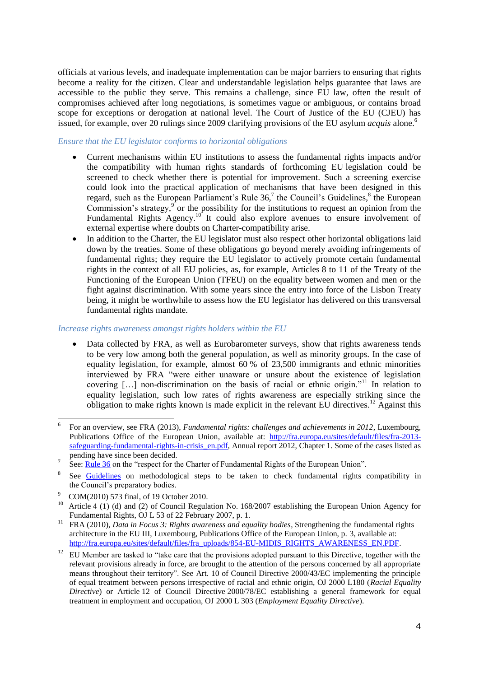officials at various levels, and inadequate implementation can be major barriers to ensuring that rights become a reality for the citizen. Clear and understandable legislation helps guarantee that laws are accessible to the public they serve. This remains a challenge, since EU law, often the result of compromises achieved after long negotiations, is sometimes vague or ambiguous, or contains broad scope for exceptions or derogation at national level. The Court of Justice of the EU (CJEU) has issued, for example, over 20 rulings since 2009 clarifying provisions of the EU asylum *acquis* alone. 6

### *Ensure that the EU legislator conforms to horizontal obligations*

- Current mechanisms within EU institutions to assess the fundamental rights impacts and/or the compatibility with human rights standards of forthcoming EU legislation could be screened to check whether there is potential for improvement. Such a screening exercise could look into the practical application of mechanisms that have been designed in this regard, such as the European Parliament's Rule  $36<sup>7</sup>$  the Council's Guidelines,<sup>8</sup> the European Commission's strategy, $9^{\circ}$  or the possibility for the institutions to request an opinion from the Fundamental Rights Agency.<sup>10</sup> It could also explore avenues to ensure involvement of external expertise where doubts on Charter-compatibility arise.
- In addition to the Charter, the EU legislator must also respect other horizontal obligations laid down by the treaties. Some of these obligations go beyond merely avoiding infringements of fundamental rights; they require the EU legislator to actively promote certain fundamental rights in the context of all EU policies, as, for example, Articles 8 to 11 of the Treaty of the Functioning of the European Union (TFEU) on the equality between women and men or the fight against discrimination. With some years since the entry into force of the Lisbon Treaty being, it might be worthwhile to assess how the EU legislator has delivered on this transversal fundamental rights mandate.

#### *Increase rights awareness amongst rights holders within the EU*

 Data collected by FRA, as well as Eurobarometer surveys, show that rights awareness tends to be very low among both the general population, as well as minority groups. In the case of equality legislation, for example, almost 60 % of 23,500 immigrants and ethnic minorities interviewed by FRA "were either unaware or unsure about the existence of legislation covering […] non-discrimination on the basis of racial or ethnic origin."<sup>11</sup> In relation to equality legislation, such low rates of rights awareness are especially striking since the obligation to make rights known is made explicit in the relevant EU directives.<sup>12</sup> Against this

<sup>1</sup> 6 For an overview, see FRA (2013), *Fundamental rights: challenges and achievements in 2012*, Luxembourg, Publications Office of the European Union, available at: [http://fra.europa.eu/sites/default/files/fra-2013](http://fra.europa.eu/sites/default/files/fra-2013-safeguarding-fundamental-rights-in-crisis_en.pdf) safeguarding-fundamental-rights-in-crisis en.pdf, Annual report 2012, Chapter 1. Some of the cases listed as pending have since been decided.

<sup>7</sup> See: [Rule 36](http://eur-lex.europa.eu/LexUriServ/LexUriServ.do?uri=OJ:C:2008:115:0047:0199:en:PDF) on the "respect for the Charter of Fundamental Rights of the European Union".

<sup>8</sup> See [Guidelines](http://register.consilium.europa.eu/pdf/en/11/st10/st10140.en11.pdf) on methodological steps to be taken to check fundamental rights compatibility in the Council's preparatory bodies.

<sup>9</sup> COM(2010) 573 final, of 19 October 2010.

Article 4 (1) (d) and (2) of Council Regulation No. 168/2007 establishing the European Union Agency for Fundamental Rights, OJ L 53 of 22 February 2007, p. 1.

<sup>11</sup> FRA (2010), *Data in Focus 3: Rights awareness and equality bodies*, Strengthening the fundamental rights architecture in the EU III, Luxembourg, Publications Office of the European Union, p. 3, available at: [http://fra.europa.eu/sites/default/files/fra\\_uploads/854-EU-MIDIS\\_RIGHTS\\_AWARENESS\\_EN.PDF.](http://fra.europa.eu/sites/default/files/fra_uploads/854-EU-MIDIS_RIGHTS_AWARENESS_EN.PDF)

<sup>&</sup>lt;sup>12</sup> EU Member are tasked to "take care that the provisions adopted pursuant to this Directive, together with the relevant provisions already in force, are brought to the attention of the persons concerned by all appropriate means throughout their territory". See Art. 10 of Council Directive 2000/43/EC implementing the principle of equal treatment between persons irrespective of racial and ethnic origin, OJ 2000 L180 (*Racial Equality Directive*) or Article 12 of Council Directive 2000/78/EC establishing a general framework for equal treatment in employment and occupation, OJ 2000 L 303 (*Employment Equality Directive*).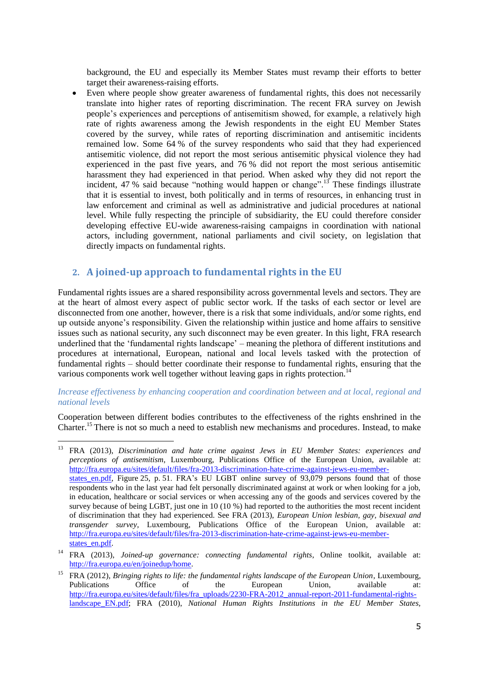background, the EU and especially its Member States must revamp their efforts to better target their awareness-raising efforts.

 Even where people show greater awareness of fundamental rights, this does not necessarily translate into higher rates of reporting discrimination. The recent FRA survey on Jewish people's experiences and perceptions of antisemitism showed, for example, a relatively high rate of rights awareness among the Jewish respondents in the eight EU Member States covered by the survey, while rates of reporting discrimination and antisemitic incidents remained low. Some 64 % of the survey respondents who said that they had experienced antisemitic violence, did not report the most serious antisemitic physical violence they had experienced in the past five years, and 76 % did not report the most serious antisemitic harassment they had experienced in that period. When asked why they did not report the incident, 47 % said because "nothing would happen or change".<sup>13</sup> These findings illustrate that it is essential to invest, both politically and in terms of resources, in enhancing trust in law enforcement and criminal as well as administrative and judicial procedures at national level. While fully respecting the principle of subsidiarity, the EU could therefore consider developing effective EU-wide awareness-raising campaigns in coordination with national actors, including government, national parliaments and civil society, on legislation that directly impacts on fundamental rights.

# **2. A joined-up approach to fundamental rights in the EU**

<u>.</u>

Fundamental rights issues are a shared responsibility across governmental levels and sectors. They are at the heart of almost every aspect of public sector work. If the tasks of each sector or level are disconnected from one another, however, there is a risk that some individuals, and/or some rights, end up outside anyone's responsibility. Given the relationship within justice and home affairs to sensitive issues such as national security, any such disconnect may be even greater. In this light, FRA research underlined that the 'fundamental rights landscape' – meaning the plethora of different institutions and procedures at international, European, national and local levels tasked with the protection of fundamental rights – should better coordinate their response to fundamental rights, ensuring that the various components work well together without leaving gaps in rights protection.<sup>14</sup>

## *Increase effectiveness by enhancing cooperation and coordination between and at local, regional and national levels*

Cooperation between different bodies contributes to the effectiveness of the rights enshrined in the Charter.<sup>15</sup> There is not so much a need to establish new mechanisms and procedures. Instead, to make

<sup>13</sup> FRA (2013), *Discrimination and hate crime against Jews in EU Member States: experiences and perceptions of antisemitism*, Luxembourg, Publications Office of the European Union, available at: [http://fra.europa.eu/sites/default/files/fra-2013-discrimination-hate-crime-against-jews-eu-member](http://fra.europa.eu/sites/default/files/fra-2013-discrimination-hate-crime-against-jews-eu-member-states_en.pdf)states en.pdf, Figure 25, p. 51. FRA's EU LGBT online survey of 93,079 persons found that of those respondents who in the last year had felt personally discriminated against at work or when looking for a job, in education, healthcare or social services or when accessing any of the goods and services covered by the survey because of being LGBT, just one in 10 (10 %) had reported to the authorities the most recent incident of discrimination that they had experienced. See FRA (2013), *European Union lesbian, gay, bisexual and transgender survey*, Luxembourg, Publications Office of the European Union, available at: [http://fra.europa.eu/sites/default/files/fra-2013-discrimination-hate-crime-against-jews-eu-member](http://fra.europa.eu/sites/default/files/fra-2013-discrimination-hate-crime-against-jews-eu-member-states_en.pdf)[states\\_en.pdf.](http://fra.europa.eu/sites/default/files/fra-2013-discrimination-hate-crime-against-jews-eu-member-states_en.pdf)

<sup>14</sup> FRA (2013), *Joined-up governance: connecting fundamental rights*, Online toolkit, available at: [http://fra.europa.eu/en/joinedup/home.](http://fra.europa.eu/en/joinedup/home)

<sup>15</sup> FRA (2012), *Bringing rights to life: the fundamental rights landscape of the European Union*, Luxembourg, Publications Office of the European Union, available at: [http://fra.europa.eu/sites/default/files/fra\\_uploads/2230-FRA-2012\\_annual-report-2011-fundamental-rights](http://fra.europa.eu/sites/default/files/fra_uploads/2230-FRA-2012_annual-report-2011-fundamental-rights-landscape_EN.pdf)landscape EN.pdf; FRA (2010), *National Human Rights Institutions in the EU Member States,*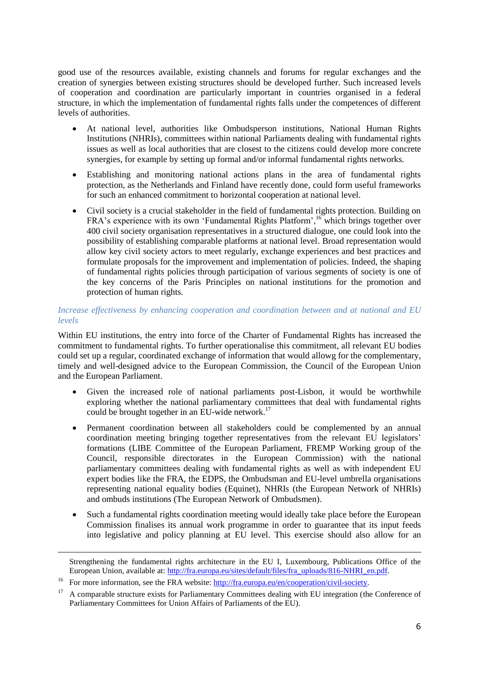good use of the resources available, existing channels and forums for regular exchanges and the creation of synergies between existing structures should be developed further. Such increased levels of cooperation and coordination are particularly important in countries organised in a federal structure, in which the implementation of fundamental rights falls under the competences of different levels of authorities.

- At national level, authorities like Ombudsperson institutions, National Human Rights Institutions (NHRIs), committees within national Parliaments dealing with fundamental rights issues as well as local authorities that are closest to the citizens could develop more concrete synergies, for example by setting up formal and/or informal fundamental rights networks.
- Establishing and monitoring national actions plans in the area of fundamental rights protection, as the Netherlands and Finland have recently done, could form useful frameworks for such an enhanced commitment to horizontal cooperation at national level.
- Civil society is a crucial stakeholder in the field of fundamental rights protection. Building on FRA's experience with its own 'Fundamental Rights Platform',<sup>16</sup> which brings together over 400 civil society organisation representatives in a structured dialogue, one could look into the possibility of establishing comparable platforms at national level. Broad representation would allow key civil society actors to meet regularly, exchange experiences and best practices and formulate proposals for the improvement and implementation of policies. Indeed, the shaping of fundamental rights policies through participation of various segments of society is one of the key concerns of the Paris Principles on national institutions for the promotion and protection of human rights.

## *Increase effectiveness by enhancing cooperation and coordination between and at national and EU levels*

Within EU institutions, the entry into force of the Charter of Fundamental Rights has increased the commitment to fundamental rights. To further operationalise this commitment, all relevant EU bodies could set up a regular, coordinated exchange of information that would allowg for the complementary, timely and well-designed advice to the European Commission, the Council of the European Union and the European Parliament.

- Given the increased role of national parliaments post-Lisbon, it would be worthwhile exploring whether the national parliamentary committees that deal with fundamental rights could be brought together in an EU-wide network.<sup>17</sup>
- Permanent coordination between all stakeholders could be complemented by an annual coordination meeting bringing together representatives from the relevant EU legislators' formations (LIBE Committee of the European Parliament, FREMP Working group of the Council, responsible directorates in the European Commission) with the national parliamentary committees dealing with fundamental rights as well as with independent EU expert bodies like the FRA, the EDPS, the Ombudsman and EU-level umbrella organisations representing national equality bodies (Equinet), NHRIs (the European Network of NHRIs) and ombuds institutions (The European Network of Ombudsmen).
- Such a fundamental rights coordination meeting would ideally take place before the European Commission finalises its annual work programme in order to guarantee that its input feeds into legislative and policy planning at EU level. This exercise should also allow for an

1

Strengthening the fundamental rights architecture in the EU I, Luxembourg, Publications Office of the European Union, available at: [http://fra.europa.eu/sites/default/files/fra\\_uploads/816-NHRI\\_en.pdf.](http://fra.europa.eu/sites/default/files/fra_uploads/816-NHRI_en.pdf)

<sup>&</sup>lt;sup>16</sup> For more information, see the FRA website: [http://fra.europa.eu/en/cooperation/civil-society.](http://fra.europa.eu/en/cooperation/civil-society)

<sup>&</sup>lt;sup>17</sup> A comparable structure exists for Parliamentary Committees dealing with EU integration (the Conference of Parliamentary Committees for Union Affairs of Parliaments of the EU).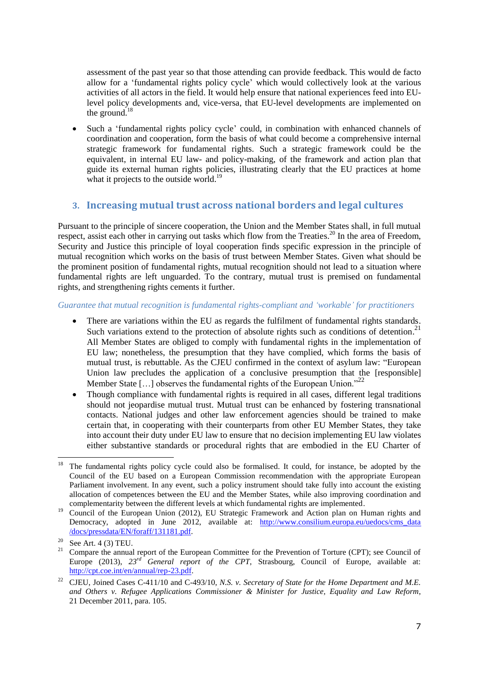assessment of the past year so that those attending can provide feedback. This would de facto allow for a 'fundamental rights policy cycle' which would collectively look at the various activities of all actors in the field. It would help ensure that national experiences feed into EUlevel policy developments and, vice-versa, that EU-level developments are implemented on the ground. 18

 Such a 'fundamental rights policy cycle' could, in combination with enhanced channels of coordination and cooperation, form the basis of what could become a comprehensive internal strategic framework for fundamental rights. Such a strategic framework could be the equivalent, in internal EU law- and policy-making, of the framework and action plan that guide its external human rights policies, illustrating clearly that the EU practices at home what it projects to the outside world.<sup>19</sup>

# **3. Increasing mutual trust across national borders and legal cultures**

Pursuant to the principle of sincere cooperation, the Union and the Member States shall, in full mutual respect, assist each other in carrying out tasks which flow from the Treaties.<sup>20</sup> In the area of Freedom, Security and Justice this principle of loyal cooperation finds specific expression in the principle of mutual recognition which works on the basis of trust between Member States. Given what should be the prominent position of fundamental rights, mutual recognition should not lead to a situation where fundamental rights are left unguarded. To the contrary, mutual trust is premised on fundamental rights, and strengthening rights cements it further.

## *Guarantee that mutual recognition is fundamental rights-compliant and 'workable' for practitioners*

- There are variations within the EU as regards the fulfilment of fundamental rights standards. Such variations extend to the protection of absolute rights such as conditions of detention.<sup>21</sup> All Member States are obliged to comply with fundamental rights in the implementation of EU law; nonetheless, the presumption that they have complied, which forms the basis of mutual trust, is rebuttable. As the CJEU confirmed in the context of asylum law: "European Union law precludes the application of a conclusive presumption that the [responsible] Member State [ $\dots$ ] observes the fundamental rights of the European Union.<sup>22</sup>
- Though compliance with fundamental rights is required in all cases, different legal traditions should not jeopardise mutual trust. Mutual trust can be enhanced by fostering transnational contacts. National judges and other law enforcement agencies should be trained to make certain that, in cooperating with their counterparts from other EU Member States, they take into account their duty under EU law to ensure that no decision implementing EU law violates either substantive standards or procedural rights that are embodied in the EU Charter of

 $\frac{1}{18}$  The fundamental rights policy cycle could also be formalised. It could, for instance, be adopted by the Council of the EU based on a European Commission recommendation with the appropriate European Parliament involvement. In any event, such a policy instrument should take fully into account the existing allocation of competences between the EU and the Member States, while also improving coordination and complementarity between the different levels at which fundamental rights are implemented.

<sup>&</sup>lt;sup>19</sup> Council of the European Union (2012), EU Strategic Framework and Action plan on Human rights and Democracy, adopted in June 2012, available at: [http://www.consilium.europa.eu/uedocs/cms\\_data](http://www.consilium.europa.eu/uedocs/cms_data/docs/pressdata/EN/foraff/131181.pdf) [/docs/pressdata/EN/foraff/131181.pdf.](http://www.consilium.europa.eu/uedocs/cms_data/docs/pressdata/EN/foraff/131181.pdf)

<sup>&</sup>lt;sup>20</sup> See Art. 4 (3) TEU.<br><sup>21</sup> Compare the annual

<sup>21</sup> Compare the annual report of the European Committee for the Prevention of Torture (CPT); see Council of Europe (2013), *23rd General report of the CPT*, Strasbourg, Council of Europe, available at: [http://cpt.coe.int/en/annual/rep-23.pdf.](http://cpt.coe.int/en/annual/rep-23.pdf)

<sup>22</sup> CJEU, Joined Cases C-411/10 and C-493/10, *N.S. v. Secretary of State for the Home Department and M.E. and Others v. Refugee Applications Commissioner & Minister for Justice, Equality and Law Reform*, 21 December 2011, para. 105.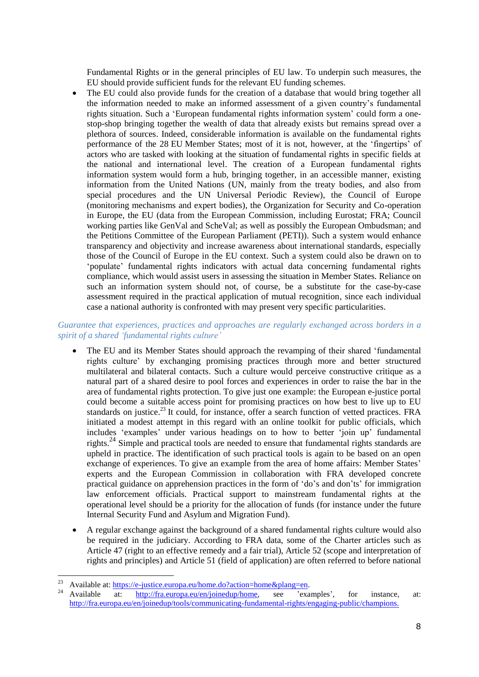Fundamental Rights or in the general principles of EU law. To underpin such measures, the EU should provide sufficient funds for the relevant EU funding schemes.

 The EU could also provide funds for the creation of a database that would bring together all the information needed to make an informed assessment of a given country's fundamental rights situation. Such a 'European fundamental rights information system' could form a onestop-shop bringing together the wealth of data that already exists but remains spread over a plethora of sources. Indeed, considerable information is available on the fundamental rights performance of the 28 EU Member States; most of it is not, however, at the 'fingertips' of actors who are tasked with looking at the situation of fundamental rights in specific fields at the national and international level. The creation of a European fundamental rights information system would form a hub, bringing together, in an accessible manner, existing information from the United Nations (UN, mainly from the treaty bodies, and also from special procedures and the UN Universal Periodic Review), the Council of Europe (monitoring mechanisms and expert bodies), the Organization for Security and Co-operation in Europe, the EU (data from the European Commission, including Eurostat; FRA; Council working parties like GenVal and ScheVal; as well as possibly the European Ombudsman; and the Petitions Committee of the European Parliament (PETI)). Such a system would enhance transparency and objectivity and increase awareness about international standards, especially those of the Council of Europe in the EU context. Such a system could also be drawn on to 'populate' fundamental rights indicators with actual data concerning fundamental rights compliance, which would assist users in assessing the situation in Member States. Reliance on such an information system should not, of course, be a substitute for the case-by-case assessment required in the practical application of mutual recognition, since each individual case a national authority is confronted with may present very specific particularities.

### *Guarantee that experiences, practices and approaches are regularly exchanged across borders in a spirit of a shared 'fundamental rights culture'*

- The EU and its Member States should approach the revamping of their shared 'fundamental rights culture' by exchanging promising practices through more and better structured multilateral and bilateral contacts. Such a culture would perceive constructive critique as a natural part of a shared desire to pool forces and experiences in order to raise the bar in the area of fundamental rights protection. To give just one example: the European e-justice portal could become a suitable access point for promising practices on how best to live up to EU standards on justice.<sup>23</sup> It could, for instance, offer a search function of vetted practices. FRA initiated a modest attempt in this regard with an online toolkit for public officials, which includes 'examples' under various headings on to how to better 'join up' fundamental rights.<sup>24</sup> Simple and practical tools are needed to ensure that fundamental rights standards are upheld in practice. The identification of such practical tools is again to be based on an open exchange of experiences. To give an example from the area of home affairs: Member States' experts and the European Commission in collaboration with FRA developed concrete practical guidance on apprehension practices in the form of 'do's and don'ts' for immigration law enforcement officials. Practical support to mainstream fundamental rights at the operational level should be a priority for the allocation of funds (for instance under the future Internal Security Fund and Asylum and Migration Fund).
- A regular exchange against the background of a shared fundamental rights culture would also be required in the judiciary. According to FRA data, some of the Charter articles such as Article 47 (right to an effective remedy and a fair trial), Article 52 (scope and interpretation of rights and principles) and Article 51 (field of application) are often referred to before national

<sup>23</sup> <sup>23</sup> Available at:  $\frac{https://e-justice.europa.eu/home.do?action=home&plang=en.$ <br>
<sup>24</sup>

<sup>24</sup> Available at: [http://fra.europa.eu/en/joinedup/home,](http://fra.europa.eu/en/joinedup/home) see 'examples', for instance, at: [http://fra.europa.eu/en/joinedup/tools/communicating-fundamental-rights/engaging-public/champions.](http://fra.europa.eu/en/joinedup/tools/communicating-fundamental-rights/engaging-public/champions)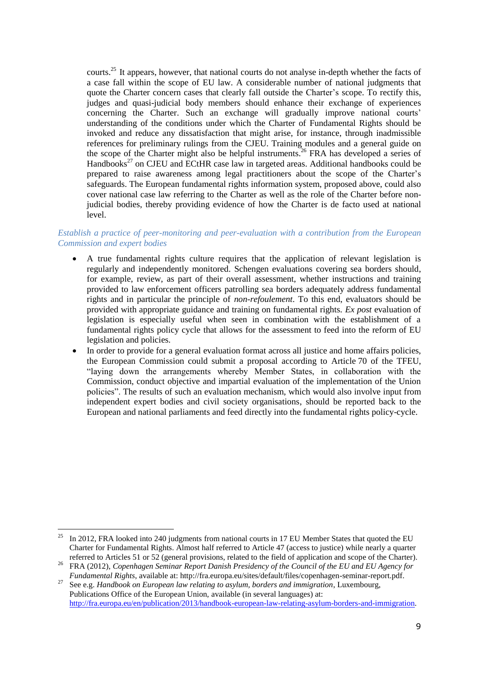courts.<sup>25</sup> It appears, however, that national courts do not analyse in-depth whether the facts of a case fall within the scope of EU law. A considerable number of national judgments that quote the Charter concern cases that clearly fall outside the Charter's scope. To rectify this, judges and quasi-judicial body members should enhance their exchange of experiences concerning the Charter. Such an exchange will gradually improve national courts' understanding of the conditions under which the Charter of Fundamental Rights should be invoked and reduce any dissatisfaction that might arise, for instance, through inadmissible references for preliminary rulings from the CJEU. Training modules and a general guide on the scope of the Charter might also be helpful instruments.<sup>26</sup> FRA has developed a series of Handbooks<sup>27</sup> on CJEU and ECtHR case law in targeted areas. Additional handbooks could be prepared to raise awareness among legal practitioners about the scope of the Charter's safeguards. The European fundamental rights information system, proposed above, could also cover national case law referring to the Charter as well as the role of the Charter before nonjudicial bodies, thereby providing evidence of how the Charter is de facto used at national level.

### *Establish a practice of peer-monitoring and peer-evaluation with a contribution from the European Commission and expert bodies*

- A true fundamental rights culture requires that the application of relevant legislation is regularly and independently monitored. Schengen evaluations covering sea borders should, for example, review, as part of their overall assessment, whether instructions and training provided to law enforcement officers patrolling sea borders adequately address fundamental rights and in particular the principle of *non-refoulement*. To this end, evaluators should be provided with appropriate guidance and training on fundamental rights. *Ex post* evaluation of legislation is especially useful when seen in combination with the establishment of a fundamental rights policy cycle that allows for the assessment to feed into the reform of EU legislation and policies.
- In order to provide for a general evaluation format across all justice and home affairs policies, the European Commission could submit a proposal according to Article 70 of the TFEU, "laying down the arrangements whereby Member States, in collaboration with the Commission, conduct objective and impartial evaluation of the implementation of the Union policies". The results of such an evaluation mechanism, which would also involve input from independent expert bodies and civil society organisations, should be reported back to the European and national parliaments and feed directly into the fundamental rights policy-cycle.

<u>.</u>

<sup>&</sup>lt;sup>25</sup> In 2012, FRA looked into 240 judgments from national courts in 17 EU Member States that quoted the EU Charter for Fundamental Rights. Almost half referred to Article 47 (access to justice) while nearly a quarter referred to Articles 51 or 52 (general provisions, related to the field of application and scope of the Charter).

<sup>26</sup> FRA (2012), *Copenhagen Seminar Report Danish Presidency of the Council of the EU and EU Agency for Fundamental Rights*, available at: [http://fra.europa.eu/sites/default/files/copenhagen-seminar-report.pdf.](http://fra.europa.eu/sites/default/files/copenhagen-seminar-report.pdf)

<sup>27</sup> See e.g. *Handbook on European law relating to asylum, borders and immigration*, Luxembourg, Publications Office of the European Union, available (in several languages) at: [http://fra.europa.eu/en/publication/2013/handbook-european-law-relating-asylum-borders-and-immigration.](http://fra.europa.eu/en/publication/2013/handbook-european-law-relating-asylum-borders-and-immigration)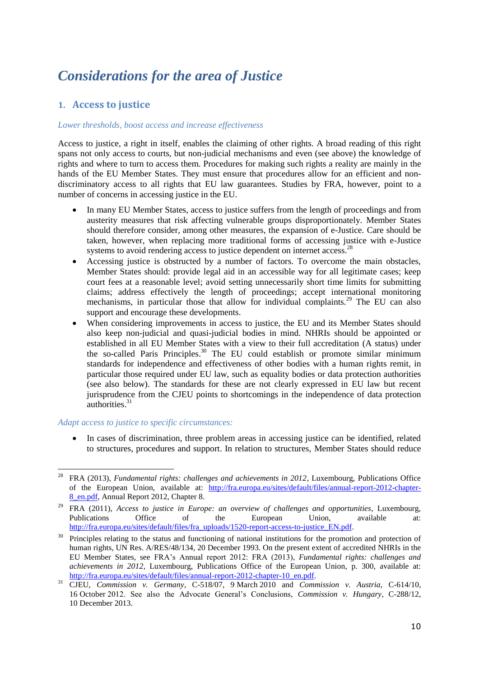# *Considerations for the area of Justice*

# **1. Access to justice**

#### *Lower thresholds, boost access and increase effectiveness*

Access to justice, a right in itself, enables the claiming of other rights. A broad reading of this right spans not only access to courts, but non-judicial mechanisms and even (see above) the knowledge of rights and where to turn to access them. Procedures for making such rights a reality are mainly in the hands of the EU Member States. They must ensure that procedures allow for an efficient and nondiscriminatory access to all rights that EU law guarantees. Studies by FRA, however, point to a number of concerns in accessing justice in the EU.

- In many EU Member States, access to justice suffers from the length of proceedings and from austerity measures that risk affecting vulnerable groups disproportionately. Member States should therefore consider, among other measures, the expansion of e-Justice. Care should be taken, however, when replacing more traditional forms of accessing justice with e-Justice systems to avoid rendering access to justice dependent on internet access.<sup>28</sup>
- Accessing justice is obstructed by a number of factors. To overcome the main obstacles, Member States should: provide legal aid in an accessible way for all legitimate cases; keep court fees at a reasonable level; avoid setting unnecessarily short time limits for submitting claims; address effectively the length of proceedings; accept international monitoring mechanisms, in particular those that allow for individual complaints.<sup>29</sup> The EU can also support and encourage these developments.
- When considering improvements in access to justice, the EU and its Member States should also keep non-judicial and quasi-judicial bodies in mind. NHRIs should be appointed or established in all EU Member States with a view to their full accreditation (A status) under the so-called Paris Principles.<sup>30</sup> The EU could establish or promote similar minimum standards for independence and effectiveness of other bodies with a human rights remit, in particular those required under EU law, such as equality bodies or data protection authorities (see also below). The standards for these are not clearly expressed in EU law but recent jurisprudence from the CJEU points to shortcomings in the independence of data protection  $authorities.<sup>31</sup>$

#### *Adapt access to justice to specific circumstances:*

<u>.</u>

• In cases of discrimination, three problem areas in accessing justice can be identified, related to structures, procedures and support. In relation to structures, Member States should reduce

<sup>28</sup> FRA (2013), *Fundamental rights: challenges and achievements in 2012*, Luxembourg, Publications Office of the European Union, available at: [http://fra.europa.eu/sites/default/files/annual-report-2012-chapter-](http://fra.europa.eu/sites/default/files/annual-report-2012-chapter-8_en.pdf)[8\\_en.pdf,](http://fra.europa.eu/sites/default/files/annual-report-2012-chapter-8_en.pdf) Annual Report 2012, Chapter 8.

<sup>29</sup> FRA (2011), *Access to justice in Europe: an overview of challenges and opportunities*, Luxembourg, Publications Office of the European Union, available at: [http://fra.europa.eu/sites/default/files/fra\\_uploads/1520-report-access-to-justice\\_EN.pdf.](http://fra.europa.eu/sites/default/files/fra_uploads/1520-report-access-to-justice_EN.pdf)

<sup>30</sup> Principles relating to the status and functioning of national institutions for the promotion and protection of human rights, UN Res. A/RES/48/134, 20 December 1993. On the present extent of accredited NHRIs in the EU Member States, see FRA's Annual report 2012: FRA (2013), *Fundamental rights: challenges and achievements in 2012*, Luxembourg, Publications Office of the European Union, p. 300, available at: [http://fra.europa.eu/sites/default/files/annual-report-2012-chapter-10\\_en.pdf.](http://fra.europa.eu/sites/default/files/annual-report-2012-chapter-10_en.pdf)

<sup>31</sup> CJEU, *Commission v. Germany*, C-518/07, 9 March 2010 and *Commission v. Austria*, C-614/10, 16 October 2012. See also the Advocate General's Conclusions, *Commission v. Hungary*, C-288/12, 10 December 2013.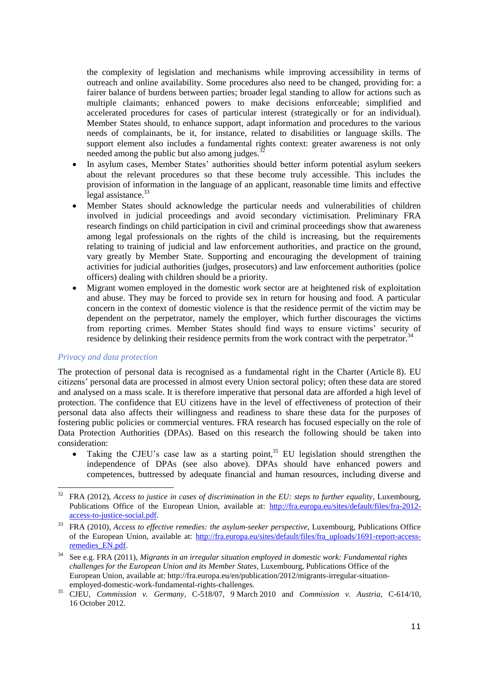the complexity of legislation and mechanisms while improving accessibility in terms of outreach and online availability. Some procedures also need to be changed, providing for: a fairer balance of burdens between parties; broader legal standing to allow for actions such as multiple claimants; enhanced powers to make decisions enforceable; simplified and accelerated procedures for cases of particular interest (strategically or for an individual). Member States should, to enhance support, adapt information and procedures to the various needs of complainants, be it, for instance, related to disabilities or language skills. The support element also includes a fundamental rights context: greater awareness is not only needed among the public but also among judges.<sup>3</sup>

- In asylum cases, Member States' authorities should better inform potential asylum seekers about the relevant procedures so that these become truly accessible. This includes the provision of information in the language of an applicant, reasonable time limits and effective legal assistance. $33$
- Member States should acknowledge the particular needs and vulnerabilities of children involved in judicial proceedings and avoid secondary victimisation. Preliminary FRA research findings on child participation in civil and criminal proceedings show that awareness among legal professionals on the rights of the child is increasing, but the requirements relating to training of judicial and law enforcement authorities, and practice on the ground, vary greatly by Member State. Supporting and encouraging the development of training activities for judicial authorities (judges, prosecutors) and law enforcement authorities (police officers) dealing with children should be a priority.
- Migrant women employed in the domestic work sector are at heightened risk of exploitation and abuse. They may be forced to provide sex in return for housing and food. A particular concern in the context of domestic violence is that the residence permit of the victim may be dependent on the perpetrator, namely the employer, which further discourages the victims from reporting crimes. Member States should find ways to ensure victims' security of residence by delinking their residence permits from the work contract with the perpetrator. $34$

#### *Privacy and data protection*

1

The protection of personal data is recognised as a fundamental right in the Charter (Article 8). EU citizens' personal data are processed in almost every Union sectoral policy; often these data are stored and analysed on a mass scale. It is therefore imperative that personal data are afforded a high level of protection. The confidence that EU citizens have in the level of effectiveness of protection of their personal data also affects their willingness and readiness to share these data for the purposes of fostering public policies or commercial ventures. FRA research has focused especially on the role of Data Protection Authorities (DPAs). Based on this research the following should be taken into consideration:

Taking the CJEU's case law as a starting point, $35$  EU legislation should strengthen the independence of DPAs (see also above). DPAs should have enhanced powers and competences, buttressed by adequate financial and human resources, including diverse and

<sup>&</sup>lt;sup>32</sup> FRA (2012), *Access to justice in cases of discrimination in the EU: steps to further equality*, Luxembourg, Publications Office of the European Union, available at: [http://fra.europa.eu/sites/default/files/fra-2012](http://fra.europa.eu/sites/default/files/fra-2012-access-to-justice-social.pdf) [access-to-justice-social.pdf.](http://fra.europa.eu/sites/default/files/fra-2012-access-to-justice-social.pdf)

<sup>&</sup>lt;sup>33</sup> FRA (2010), *Access to effective remedies: the asylum-seeker perspective*, Luxembourg, Publications Office of the European Union, available at: [http://fra.europa.eu/sites/default/files/fra\\_uploads/1691-report-access](http://fra.europa.eu/sites/default/files/fra_uploads/1691-report-access-remedies_EN.pdf)[remedies\\_EN.pdf.](http://fra.europa.eu/sites/default/files/fra_uploads/1691-report-access-remedies_EN.pdf)

<sup>34</sup> See e.g. FRA (2011), *Migrants in an irregular situation employed in domestic work: Fundamental rights challenges for the European Union and its Member States*, Luxembourg, Publications Office of the European Union, available at: http://fra.europa.eu/en/publication/2012/migrants-irregular-situationemployed-domestic-work-fundamental-rights-challenges.

<sup>35</sup> CJEU, *Commission v. Germany*, C-518/07, 9 March 2010 and *Commission v. Austria*, C-614/10, 16 October 2012.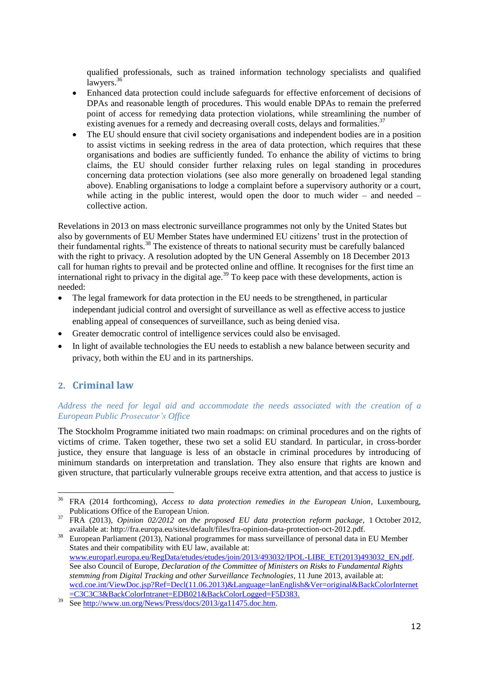qualified professionals, such as trained information technology specialists and qualified lawyers. $36$ 

- Enhanced data protection could include safeguards for effective enforcement of decisions of DPAs and reasonable length of procedures. This would enable DPAs to remain the preferred point of access for remedying data protection violations, while streamlining the number of existing avenues for a remedy and decreasing overall costs, delays and formalities.<sup>37</sup>
- The EU should ensure that civil society organisations and independent bodies are in a position to assist victims in seeking redress in the area of data protection, which requires that these organisations and bodies are sufficiently funded. To enhance the ability of victims to bring claims, the EU should consider further relaxing rules on legal standing in procedures concerning data protection violations (see also more generally on broadened legal standing above). Enabling organisations to lodge a complaint before a supervisory authority or a court, while acting in the public interest, would open the door to much wider – and needed – collective action.

Revelations in 2013 on mass electronic surveillance programmes not only by the United States but also by governments of EU Member States have undermined EU citizens' trust in the protection of their fundamental rights.<sup>38</sup> The existence of threats to national security must be carefully balanced with the right to privacy. A resolution adopted by the UN General Assembly on 18 December 2013 call for human rights to prevail and be protected online and offline. It recognises for the first time an international right to privacy in the digital age.<sup>39</sup> To keep pace with these developments, action is needed:

- The legal framework for data protection in the EU needs to be strengthened, in particular independant judicial control and oversight of surveillance as well as effective access to justice enabling appeal of consequences of surveillance, such as being denied visa.
- Greater democratic control of intelligence services could also be envisaged.
- In light of available technologies the EU needs to establish a new balance between security and privacy, both within the EU and in its partnerships.

# **2. Criminal law**

1

#### *Address the need for legal aid and accommodate the needs associated with the creation of a European Public Prosecutor's Office*

The Stockholm Programme initiated two main roadmaps: on criminal procedures and on the rights of victims of crime. Taken together, these two set a solid EU standard. In particular, in cross-border justice, they ensure that language is less of an obstacle in criminal procedures by introducing of minimum standards on interpretation and translation. They also ensure that rights are known and given structure, that particularly vulnerable groups receive extra attention, and that access to justice is

<sup>36</sup> FRA (2014 forthcoming), *Access to data protection remedies in the European Union*, Luxembourg, Publications Office of the European Union.

<sup>37</sup> FRA (2013), *Opinion 02/2012 on the proposed EU data protection reform package*, 1 October 2012, available at: http://fra.europa.eu/sites/default/files/fra-opinion-data-protection-oct-2012.pdf.

<sup>&</sup>lt;sup>38</sup> European Parliament (2013), National programmes for mass surveillance of personal data in EU Member States and their compatibility with EU law, available at: [www.europarl.europa.eu/RegData/etudes/etudes/join/2013/493032/IPOL-LIBE\\_ET\(2013\)493032\\_EN.pdf.](http://www.europarl.europa.eu/RegData/etudes/etudes/join/2013/493032/IPOL-LIBE_ET(2013)493032_EN.pdf) See also Council of Europe, *Declaration of the Committee of Ministers on Risks to Fundamental Rights stemming from Digital Tracking and other Surveillance Technologies*, 11 June 2013, available at: [wcd.coe.int/ViewDoc.jsp?Ref=Decl\(11.06.2013\)&Language=lanEnglish&Ver=original&BackColorInternet](https://wcd.coe.int/ViewDoc.jsp?Ref=Decl(11.06.2013)&Language=lanEnglish&Ver=original&BackColorInternet=C3C3C3&BackColorIntranet=EDB021&BackColorLogged=F5D383) [=C3C3C3&BackColorIntranet=EDB021&BackColorLogged=F5D383.](https://wcd.coe.int/ViewDoc.jsp?Ref=Decl(11.06.2013)&Language=lanEnglish&Ver=original&BackColorInternet=C3C3C3&BackColorIntranet=EDB021&BackColorLogged=F5D383)

<sup>39</sup> See [http://www.un.org/News/Press/docs/2013/ga11475.doc.htm.](http://www.un.org/News/Press/docs/2013/ga11475.doc.htm)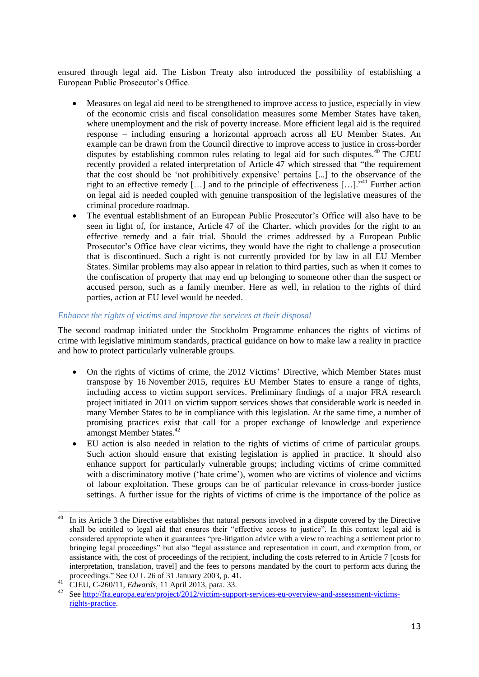ensured through legal aid. The Lisbon Treaty also introduced the possibility of establishing a European Public Prosecutor's Office.

- Measures on legal aid need to be strengthened to improve access to justice, especially in view of the economic crisis and fiscal consolidation measures some Member States have taken, where unemployment and the risk of poverty increase. More efficient legal aid is the required response – including ensuring a horizontal approach across all EU Member States. An example can be drawn from the Council directive to improve access to justice in cross-border disputes by establishing common rules relating to legal aid for such disputes.<sup>40</sup> The CJEU recently provided a related interpretation of Article 47 which stressed that "the requirement that the cost should be 'not prohibitively expensive' pertains [...] to the observance of the right to an effective remedy  $[...]$  and to the principle of effectiveness  $[...]$ <sup>341</sup> Further action on legal aid is needed coupled with genuine transposition of the legislative measures of the criminal procedure roadmap.
- The eventual establishment of an European Public Prosecutor's Office will also have to be seen in light of, for instance, Article 47 of the Charter, which provides for the right to an effective remedy and a fair trial. Should the crimes addressed by a European Public Prosecutor's Office have clear victims, they would have the right to challenge a prosecution that is discontinued. Such a right is not currently provided for by law in all EU Member States. Similar problems may also appear in relation to third parties, such as when it comes to the confiscation of property that may end up belonging to someone other than the suspect or accused person, such as a family member. Here as well, in relation to the rights of third parties, action at EU level would be needed.

## *Enhance the rights of victims and improve the services at their disposal*

The second roadmap initiated under the Stockholm Programme enhances the rights of victims of crime with legislative minimum standards, practical guidance on how to make law a reality in practice and how to protect particularly vulnerable groups.

- On the rights of victims of crime, the 2012 Victims' Directive, which Member States must transpose by 16 November 2015, requires EU Member States to ensure a range of rights, including access to victim support services. Preliminary findings of a major FRA research project initiated in 2011 on victim support services shows that considerable work is needed in many Member States to be in compliance with this legislation. At the same time, a number of promising practices exist that call for a proper exchange of knowledge and experience amongst Member States.<sup>42</sup>
- EU action is also needed in relation to the rights of victims of crime of particular groups. Such action should ensure that existing legislation is applied in practice. It should also enhance support for particularly vulnerable groups; including victims of crime committed with a discriminatory motive ('hate crime'), women who are victims of violence and victims of labour exploitation. These groups can be of particular relevance in cross-border justice settings. A further issue for the rights of victims of crime is the importance of the police as

1

<sup>40</sup> In its Article 3 the Directive establishes that natural persons involved in a dispute covered by the Directive shall be entitled to legal aid that ensures their "effective access to justice". In this context legal aid is considered appropriate when it guarantees "pre-litigation advice with a view to reaching a settlement prior to bringing legal proceedings" but also "legal assistance and representation in court, and exemption from, or assistance with, the cost of proceedings of the recipient, including the costs referred to in Article 7 [costs for interpretation, translation, travel] and the fees to persons mandated by the court to perform acts during the proceedings." See OJ L 26 of 31 January 2003, p. 41.

<sup>41</sup> CJEU, C-260/11, *Edwards*, 11 April 2013, para. 33.

<sup>42</sup> See [http://fra.europa.eu/en/project/2012/victim-support-services-eu-overview-and-assessment-victims](http://fra.europa.eu/en/project/2012/victim-support-services-eu-overview-and-assessment-victims-rights-practice)[rights-practice.](http://fra.europa.eu/en/project/2012/victim-support-services-eu-overview-and-assessment-victims-rights-practice)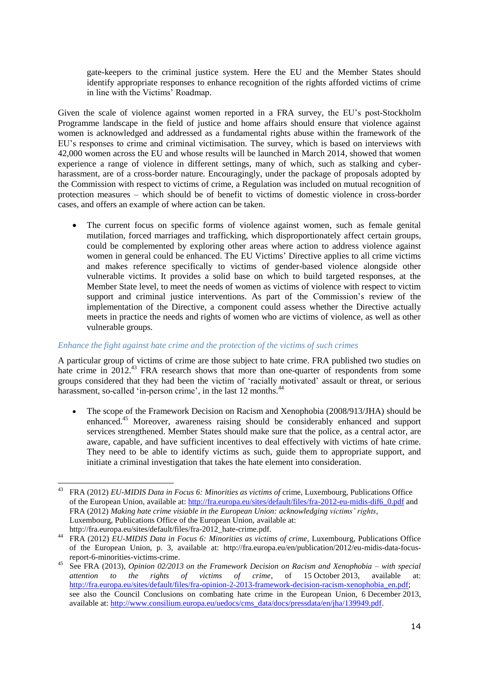gate-keepers to the criminal justice system. Here the EU and the Member States should identify appropriate responses to enhance recognition of the rights afforded victims of crime in line with the Victims' Roadmap.

Given the scale of violence against women reported in a FRA survey, the EU's post-Stockholm Programme landscape in the field of justice and home affairs should ensure that violence against women is acknowledged and addressed as a fundamental rights abuse within the framework of the EU's responses to crime and criminal victimisation. The survey, which is based on interviews with 42,000 women across the EU and whose results will be launched in March 2014, showed that women experience a range of violence in different settings, many of which, such as stalking and cyberharassment, are of a cross-border nature. Encouragingly, under the package of proposals adopted by the Commission with respect to victims of crime, a Regulation was included on mutual recognition of protection measures – which should be of benefit to victims of domestic violence in cross-border cases, and offers an example of where action can be taken.

 The current focus on specific forms of violence against women, such as female genital mutilation, forced marriages and trafficking, which disproportionately affect certain groups, could be complemented by exploring other areas where action to address violence against women in general could be enhanced. The EU Victims' Directive applies to all crime victims and makes reference specifically to victims of gender-based violence alongside other vulnerable victims. It provides a solid base on which to build targeted responses, at the Member State level, to meet the needs of women as victims of violence with respect to victim support and criminal justice interventions. As part of the Commission's review of the implementation of the Directive, a component could assess whether the Directive actually meets in practice the needs and rights of women who are victims of violence, as well as other vulnerable groups.

#### *Enhance the fight against hate crime and the protection of the victims of such crimes*

A particular group of victims of crime are those subject to hate crime. FRA published two studies on hate crime in 2012.<sup>43</sup> FRA research shows that more than one-quarter of respondents from some groups considered that they had been the victim of 'racially motivated' assault or threat, or serious harassment, so-called 'in-person crime', in the last 12 months.<sup>44</sup>

• The scope of the Framework Decision on Racism and Xenophobia (2008/913/JHA) should be enhanced.<sup>45</sup> Moreover, awareness raising should be considerably enhanced and support services strengthened. Member States should make sure that the police, as a central actor, are aware, capable, and have sufficient incentives to deal effectively with victims of hate crime. They need to be able to identify victims as such, guide them to appropriate support, and initiate a criminal investigation that takes the hate element into consideration.

<sup>1</sup> <sup>43</sup> FRA (2012) *EU-MIDIS Data in Focus 6: Minorities as victims of* crime, Luxembourg, Publications Office of the European Union, available at: [http://fra.europa.eu/sites/default/files/fra-2012-eu-midis-dif6\\_0.pdf](http://fra.europa.eu/sites/default/files/fra-2012-eu-midis-dif6_0.pdf) and FRA (2012) *Making hate crime visiable in the European Union: acknowledging victims' rights*, Luxembourg, Publications Office of the European Union, available at: [http://fra.europa.eu/sites/default/files/fra-2012\\_hate-crime.pdf.](http://fra.europa.eu/sites/default/files/fra-2012_hate-crime.pdf)

<sup>44</sup> FRA (2012) *EU-MIDIS Data in Focus 6: Minorities as victims of crime*, Luxembourg, Publications Office of the European Union, p. 3, available at: http://fra.europa.eu/en/publication/2012/eu-midis-data-focusreport-6-minorities-victims-crime.

<sup>45</sup> See FRA (2013), *Opinion 02/2013 on the Framework Decision on Racism and Xenophobia – with special attention to the rights of victims of crime*, of 15 October 2013, available at: [http://fra.europa.eu/sites/default/files/fra-opinion-2-2013-framework-decision-racism-xenophobia\\_en.pdf;](http://fra.europa.eu/sites/default/files/fra-opinion-2-2013-framework-decision-racism-xenophobia_en.pdf) see also the Council Conclusions on combating hate crime in the European Union, 6 December 2013, available at: [http://www.consilium.europa.eu/uedocs/cms\\_data/docs/pressdata/en/jha/139949.pdf.](http://www.consilium.europa.eu/uedocs/cms_data/docs/pressdata/en/jha/139949.pdf)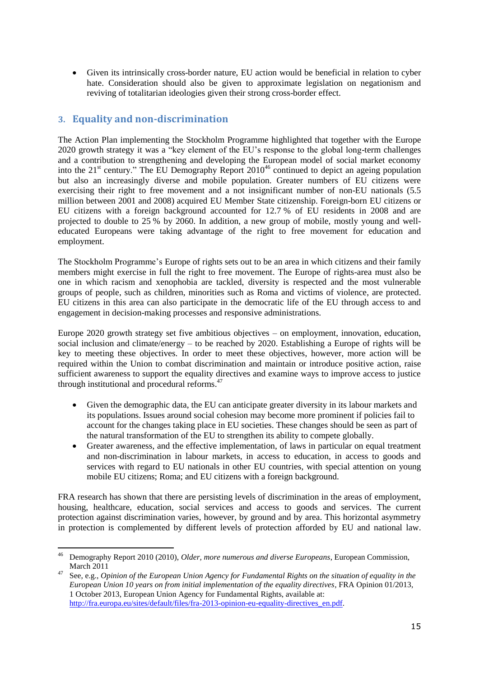Given its intrinsically cross-border nature, EU action would be beneficial in relation to cyber hate. Consideration should also be given to approximate legislation on negationism and reviving of totalitarian ideologies given their strong cross-border effect.

# **3. Equality and non-discrimination**

The Action Plan implementing the Stockholm Programme highlighted that together with the Europe 2020 growth strategy it was a "key element of the EU's response to the global long-term challenges and a contribution to strengthening and developing the European model of social market economy into the  $21<sup>st</sup>$  century." The EU Demography Report  $2010<sup>46</sup>$  continued to depict an ageing population but also an increasingly diverse and mobile population. Greater numbers of EU citizens were exercising their right to free movement and a not insignificant number of non-EU nationals (5.5 million between 2001 and 2008) acquired EU Member State citizenship. Foreign-born EU citizens or EU citizens with a foreign background accounted for 12.7 % of EU residents in 2008 and are projected to double to 25 % by 2060. In addition, a new group of mobile, mostly young and welleducated Europeans were taking advantage of the right to free movement for education and employment.

The Stockholm Programme's Europe of rights sets out to be an area in which citizens and their family members might exercise in full the right to free movement. The Europe of rights-area must also be one in which racism and xenophobia are tackled, diversity is respected and the most vulnerable groups of people, such as children, minorities such as Roma and victims of violence, are protected. EU citizens in this area can also participate in the democratic life of the EU through access to and engagement in decision-making processes and responsive administrations.

Europe 2020 growth strategy set five ambitious objectives – on employment, innovation, education, social inclusion and climate/energy – to be reached by 2020. Establishing a Europe of rights will be key to meeting these objectives. In order to meet these objectives, however, more action will be required within the Union to combat discrimination and maintain or introduce positive action, raise sufficient awareness to support the equality directives and examine ways to improve access to justice through institutional and procedural reforms. 47

- Given the demographic data, the EU can anticipate greater diversity in its labour markets and its populations. Issues around social cohesion may become more prominent if policies fail to account for the changes taking place in EU societies. These changes should be seen as part of the natural transformation of the EU to strengthen its ability to compete globally.
- Greater awareness, and the effective implementation, of laws in particular on equal treatment and non-discrimination in labour markets, in access to education, in access to goods and services with regard to EU nationals in other EU countries, with special attention on young mobile EU citizens; Roma; and EU citizens with a foreign background.

FRA research has shown that there are persisting levels of discrimination in the areas of employment, housing, healthcare, education, social services and access to goods and services. The current protection against discrimination varies, however, by ground and by area. This horizontal asymmetry in protection is complemented by different levels of protection afforded by EU and national law.

<sup>1</sup> <sup>46</sup> Demography Report 2010 (2010), *Older, more numerous and diverse Europeans*, European Commission, March 2011

<sup>47</sup> See, e.g., *Opinion of the European Union Agency for Fundamental Rights on the situation of equality in the European Union 10 years on from initial implementation of the equality directives*, FRA Opinion 01/2013, 1 October 2013, European Union Agency for Fundamental Rights, available at: [http://fra.europa.eu/sites/default/files/fra-2013-opinion-eu-equality-directives\\_en.pdf.](http://fra.europa.eu/sites/default/files/fra-2013-opinion-eu-equality-directives_en.pdf)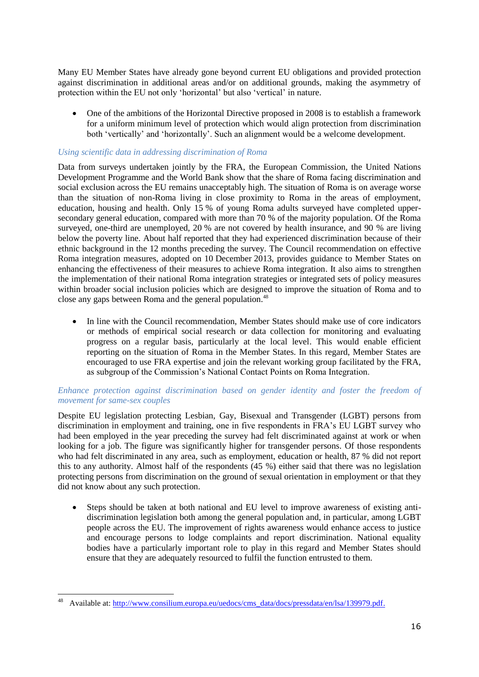Many EU Member States have already gone beyond current EU obligations and provided protection against discrimination in additional areas and/or on additional grounds, making the asymmetry of protection within the EU not only 'horizontal' but also 'vertical' in nature.

 One of the ambitions of the Horizontal Directive proposed in 2008 is to establish a framework for a uniform minimum level of protection which would align protection from discrimination both 'vertically' and 'horizontally'. Such an alignment would be a welcome development.

## *Using scientific data in addressing discrimination of Roma*

Data from surveys undertaken jointly by the FRA, the European Commission, the United Nations Development Programme and the World Bank show that the share of Roma facing discrimination and social exclusion across the EU remains unacceptably high. The situation of Roma is on average worse than the situation of non-Roma living in close proximity to Roma in the areas of employment, education, housing and health. Only 15 % of young Roma adults surveyed have completed uppersecondary general education, compared with more than 70 % of the majority population. Of the Roma surveyed, one-third are unemployed, 20 % are not covered by health insurance, and 90 % are living below the poverty line. About half reported that they had experienced discrimination because of their ethnic background in the 12 months preceding the survey. The Council recommendation on effective Roma integration measures, adopted on 10 December 2013, provides guidance to Member States on enhancing the effectiveness of their measures to achieve Roma integration. It also aims to strengthen the implementation of their national Roma integration strategies or integrated sets of policy measures within broader social inclusion policies which are designed to improve the situation of Roma and to close any gaps between Roma and the general population.<sup>48</sup>

• In line with the Council recommendation, Member States should make use of core indicators or methods of empirical social research or data collection for monitoring and evaluating progress on a regular basis, particularly at the local level. This would enable efficient reporting on the situation of Roma in the Member States. In this regard, Member States are encouraged to use FRA expertise and join the relevant working group facilitated by the FRA, as subgroup of the Commission's National Contact Points on Roma Integration.

#### *Enhance protection against discrimination based on gender identity and foster the freedom of movement for same-sex couples*

Despite EU legislation protecting Lesbian, Gay, Bisexual and Transgender (LGBT) persons from discrimination in employment and training, one in five respondents in FRA's EU LGBT survey who had been employed in the year preceding the survey had felt discriminated against at work or when looking for a job. The figure was significantly higher for transgender persons. Of those respondents who had felt discriminated in any area, such as employment, education or health, 87 % did not report this to any authority. Almost half of the respondents (45 %) either said that there was no legislation protecting persons from discrimination on the ground of sexual orientation in employment or that they did not know about any such protection.

 Steps should be taken at both national and EU level to improve awareness of existing antidiscrimination legislation both among the general population and, in particular, among LGBT people across the EU. The improvement of rights awareness would enhance access to justice and encourage persons to lodge complaints and report discrimination. National equality bodies have a particularly important role to play in this regard and Member States should ensure that they are adequately resourced to fulfil the function entrusted to them.

1

Available at: [http://www.consilium.europa.eu/uedocs/cms\\_data/docs/pressdata/en/lsa/139979.pdf.](http://www.consilium.europa.eu/uedocs/cms_data/docs/pressdata/en/lsa/139979.pdf)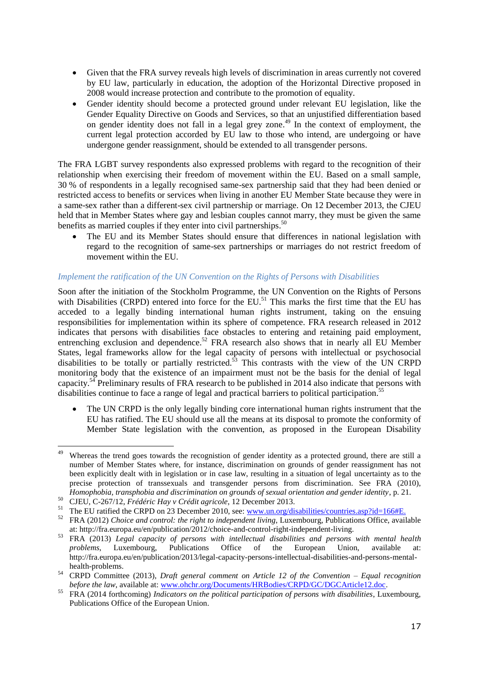- Given that the FRA survey reveals high levels of discrimination in areas currently not covered by EU law, particularly in education, the adoption of the Horizontal Directive proposed in 2008 would increase protection and contribute to the promotion of equality.
- Gender identity should become a protected ground under relevant EU legislation, like the Gender Equality Directive on Goods and Services, so that an unjustified differentiation based on gender identity does not fall in a legal grey zone. <sup>49</sup> In the context of employment, the current legal protection accorded by EU law to those who intend, are undergoing or have undergone gender reassignment, should be extended to all transgender persons.

The FRA LGBT survey respondents also expressed problems with regard to the recognition of their relationship when exercising their freedom of movement within the EU. Based on a small sample, 30 % of respondents in a legally recognised same-sex partnership said that they had been denied or restricted access to benefits or services when living in another EU Member State because they were in a same-sex rather than a different-sex civil partnership or marriage. On 12 December 2013, the CJEU held that in Member States where gay and lesbian couples cannot marry, they must be given the same benefits as married couples if they enter into civil partnerships.<sup>50</sup>

 The EU and its Member States should ensure that differences in national legislation with regard to the recognition of same-sex partnerships or marriages do not restrict freedom of movement within the EU.

## *Implement the ratification of the UN Convention on the Rights of Persons with Disabilities*

Soon after the initiation of the Stockholm Programme, the UN Convention on the Rights of Persons with Disabilities (CRPD) entered into force for the EU.<sup>51</sup> This marks the first time that the EU has acceded to a legally binding international human rights instrument, taking on the ensuing responsibilities for implementation within its sphere of competence. FRA research released in 2012 indicates that persons with disabilities face obstacles to entering and retaining paid employment, entrenching exclusion and dependence.<sup>52</sup> FRA research also shows that in nearly all EU Member States, legal frameworks allow for the legal capacity of persons with intellectual or psychosocial disabilities to be totally or partially restricted.<sup>53</sup> This contrasts with the view of the UN CRPD monitoring body that the existence of an impairment must not be the basis for the denial of legal capacity.<sup>54</sup> Preliminary results of FRA research to be published in 2014 also indicate that persons with disabilities continue to face a range of legal and practical barriers to political participation.<sup>55</sup>

 The UN CRPD is the only legally binding core international human rights instrument that the EU has ratified. The EU should use all the means at its disposal to promote the conformity of Member State legislation with the convention, as proposed in the European Disability

<sup>49</sup> Whereas the trend goes towards the recognistion of gender identity as a protected ground, there are still a number of Member States where, for instance, discrimination on grounds of gender reassignment has not been explicitly dealt with in legislation or in case law, resulting in a situation of legal uncertainty as to the precise protection of transsexuals and transgender persons from discrimination. See FRA (2010), *Homophobia, transphobia and discrimination on grounds of sexual orientation and gender identity*, p. 21.

<sup>50</sup> CJEU, C-267/12, *Frédéric Hay v Crédit agricole*, 12 December 2013.

<sup>&</sup>lt;sup>51</sup> The EU ratified the CRPD on 23 December 2010, see[: www.un.org/disabilities/countries.asp?id=166#E.](http://www.un.org/disabilities/countries.asp?id=166#E)

<sup>52</sup> FRA (2012) *Choice and control: the right to independent living*, Luxembourg, Publications Office, available at: http://fra.europa.eu/en/publication/2012/choice-and-control-right-independent-living.

<sup>53</sup> FRA (2013) *Legal capacity of persons with intellectual disabilities and persons with mental health problems*, Luxembourg, Publications Office of the European Union, available at: http://fra.europa.eu/en/publication/2013/legal-capacity-persons-intellectual-disabilities-and-persons-mentalhealth-problems.

<sup>54</sup> CRPD Committee (2013), *Draft general comment on Article 12 of the Convention – Equal recognition before the law*, available at[: www.ohchr.org/Documents/HRBodies/CRPD/GC/DGCArticle12.doc.](http://www.ohchr.org/Documents/HRBodies/CRPD/GC/DGCArticle12.doc)

<sup>55</sup> FRA (2014 forthcoming) *Indicators on the political participation of persons with disabilities*, Luxembourg, Publications Office of the European Union.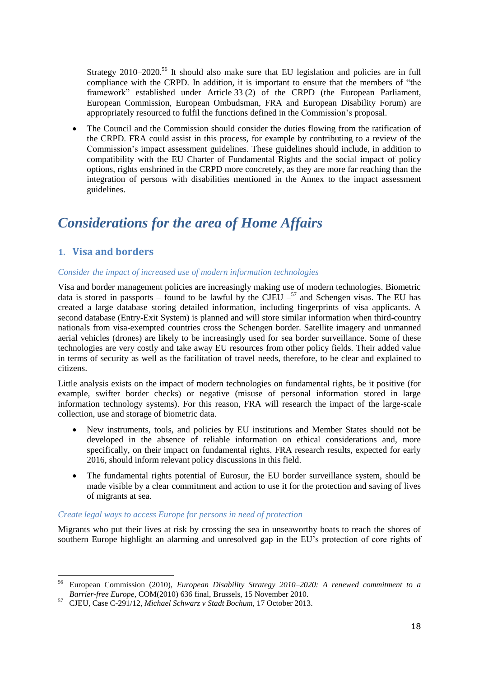Strategy 2010–2020.<sup>56</sup> It should also make sure that EU legislation and policies are in full compliance with the CRPD. In addition, it is important to ensure that the members of "the framework" established under Article 33 (2) of the CRPD (the European Parliament, European Commission, European Ombudsman, FRA and European Disability Forum) are appropriately resourced to fulfil the functions defined in the Commission's proposal.

 The Council and the Commission should consider the duties flowing from the ratification of the CRPD. FRA could assist in this process, for example by contributing to a review of the Commission's impact assessment guidelines. These guidelines should include, in addition to compatibility with the EU Charter of Fundamental Rights and the social impact of policy options, rights enshrined in the CRPD more concretely, as they are more far reaching than the integration of persons with disabilities mentioned in the Annex to the impact assessment guidelines.

# *Considerations for the area of Home Affairs*

# **1. Visa and borders**

1

## *Consider the impact of increased use of modern information technologies*

Visa and border management policies are increasingly making use of modern technologies. Biometric data is stored in passports – found to be lawful by the CJEU  $-$ <sup>57</sup> and Schengen visas. The EU has created a large database storing detailed information, including fingerprints of visa applicants. A second database (Entry-Exit System) is planned and will store similar information when third-country nationals from visa-exempted countries cross the Schengen border. Satellite imagery and unmanned aerial vehicles (drones) are likely to be increasingly used for sea border surveillance. Some of these technologies are very costly and take away EU resources from other policy fields. Their added value in terms of security as well as the facilitation of travel needs, therefore, to be clear and explained to citizens.

Little analysis exists on the impact of modern technologies on fundamental rights, be it positive (for example, swifter border checks) or negative (misuse of personal information stored in large information technology systems). For this reason, FRA will research the impact of the large-scale collection, use and storage of biometric data.

- New instruments, tools, and policies by EU institutions and Member States should not be developed in the absence of reliable information on ethical considerations and, more specifically, on their impact on fundamental rights. FRA research results, expected for early 2016, should inform relevant policy discussions in this field.
- The fundamental rights potential of Eurosur, the EU border surveillance system, should be made visible by a clear commitment and action to use it for the protection and saving of lives of migrants at sea.

#### *Create legal ways to access Europe for persons in need of protection*

Migrants who put their lives at risk by crossing the sea in unseaworthy boats to reach the shores of southern Europe highlight an alarming and unresolved gap in the EU's protection of core rights of

<sup>56</sup> European Commission (2010), *European Disability Strategy 2010–2020: A renewed commitment to a Barrier-free Europe,* COM(2010) 636 final, Brussels, 15 November 2010.

<sup>57</sup> CJEU, Case C-291/12, *Michael Schwarz v Stadt Bochum*, 17 October 2013.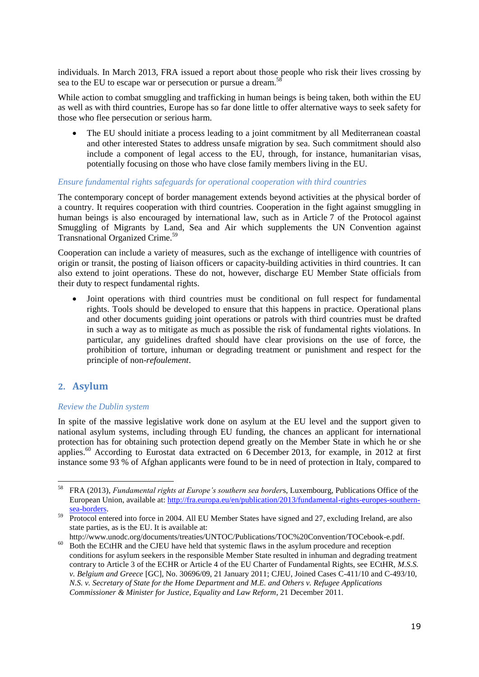individuals. In March 2013, FRA issued a report about those people who risk their lives crossing by sea to the EU to escape war or persecution or pursue a dream.<sup>5</sup>

While action to combat smuggling and trafficking in human beings is being taken, both within the EU as well as with third countries, Europe has so far done little to offer alternative ways to seek safety for those who flee persecution or serious harm.

 The EU should initiate a process leading to a joint commitment by all Mediterranean coastal and other interested States to address unsafe migration by sea. Such commitment should also include a component of legal access to the EU, through, for instance, humanitarian visas, potentially focusing on those who have close family members living in the EU.

## *Ensure fundamental rights safeguards for operational cooperation with third countries*

The contemporary concept of border management extends beyond activities at the physical border of a country. It requires cooperation with third countries. Cooperation in the fight against smuggling in human beings is also encouraged by international law, such as in Article 7 of the Protocol against Smuggling of Migrants by Land, Sea and Air which supplements the UN Convention against Transnational Organized Crime.<sup>59</sup>

Cooperation can include a variety of measures, such as the exchange of intelligence with countries of origin or transit, the posting of liaison officers or capacity-building activities in third countries. It can also extend to joint operations. These do not, however, discharge EU Member State officials from their duty to respect fundamental rights.

 Joint operations with third countries must be conditional on full respect for fundamental rights. Tools should be developed to ensure that this happens in practice. Operational plans and other documents guiding joint operations or patrols with third countries must be drafted in such a way as to mitigate as much as possible the risk of fundamental rights violations. In particular, any guidelines drafted should have clear provisions on the use of force, the prohibition of torture, inhuman or degrading treatment or punishment and respect for the principle of non-*refoulement*.

# **2. Asylum**

#### *Review the Dublin system*

In spite of the massive legislative work done on asylum at the EU level and the support given to national asylum systems, including through EU funding, the chances an applicant for international protection has for obtaining such protection depend greatly on the Member State in which he or she applies.<sup>60</sup> According to Eurostat data extracted on 6 December 2013, for example, in 2012 at first instance some 93 % of Afghan applicants were found to be in need of protection in Italy, compared to

<sup>58</sup> <sup>58</sup> FRA (2013), *Fundamental rights at Europe's southern sea border*s, Luxembourg, Publications Office of the European Union, available at: [http://fra.europa.eu/en/publication/2013/fundamental-rights-europes-southern](http://fra.europa.eu/en/publication/2013/fundamental-rights-europes-southern-sea-borders)[sea-borders.](http://fra.europa.eu/en/publication/2013/fundamental-rights-europes-southern-sea-borders)

<sup>&</sup>lt;sup>59</sup> Protocol entered into force in 2004. All EU Member States have signed and 27, excluding Ireland, are also state parties, as is the EU. It is available at:

http://www.unodc.org/documents/treaties/UNTOC/Publications/TOC%20Convention/TOCebook-e.pdf. <sup>60</sup> Both the ECtHR and the CJEU have held that systemic flaws in the asylum procedure and reception conditions for asylum seekers in the responsible Member State resulted in inhuman and degrading treatment contrary to Article 3 of the ECHR or Article 4 of the EU Charter of Fundamental Rights, see ECtHR, *M.S.S. v. Belgium and Greece* [GC], No. 30696/09, 21 January 2011; CJEU, Joined Cases C-411/10 and C-493/10, *N.S. v. Secretary of State for the Home Department and M.E. and Others v. Refugee Applications Commissioner & Minister for Justice, Equality and Law Reform*, 21 December 2011.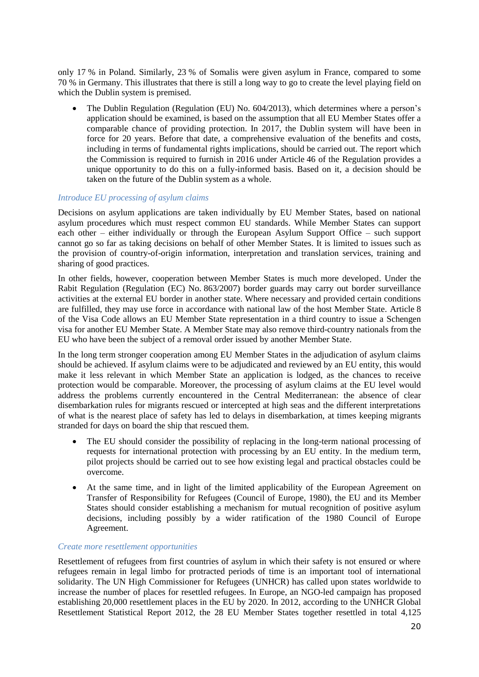only 17 % in Poland. Similarly, 23 % of Somalis were given asylum in France, compared to some 70 % in Germany. This illustrates that there is still a long way to go to create the level playing field on which the Dublin system is premised.

 The Dublin Regulation (Regulation (EU) No. 604/2013), which determines where a person's application should be examined, is based on the assumption that all EU Member States offer a comparable chance of providing protection. In 2017, the Dublin system will have been in force for 20 years. Before that date, a comprehensive evaluation of the benefits and costs, including in terms of fundamental rights implications, should be carried out. The report which the Commission is required to furnish in 2016 under Article 46 of the Regulation provides a unique opportunity to do this on a fully-informed basis. Based on it, a decision should be taken on the future of the Dublin system as a whole.

## *Introduce EU processing of asylum claims*

Decisions on asylum applications are taken individually by EU Member States, based on national asylum procedures which must respect common EU standards. While Member States can support each other – either individually or through the European Asylum Support Office – such support cannot go so far as taking decisions on behalf of other Member States. It is limited to issues such as the provision of country-of-origin information, interpretation and translation services, training and sharing of good practices.

In other fields, however, cooperation between Member States is much more developed. Under the Rabit Regulation (Regulation (EC) No. 863/2007) border guards may carry out border surveillance activities at the external EU border in another state. Where necessary and provided certain conditions are fulfilled, they may use force in accordance with national law of the host Member State. Article 8 of the Visa Code allows an EU Member State representation in a third country to issue a Schengen visa for another EU Member State. A Member State may also remove third-country nationals from the EU who have been the subject of a removal order issued by another Member State.

In the long term stronger cooperation among EU Member States in the adjudication of asylum claims should be achieved. If asylum claims were to be adjudicated and reviewed by an EU entity, this would make it less relevant in which Member State an application is lodged, as the chances to receive protection would be comparable. Moreover, the processing of asylum claims at the EU level would address the problems currently encountered in the Central Mediterranean: the absence of clear disembarkation rules for migrants rescued or intercepted at high seas and the different interpretations of what is the nearest place of safety has led to delays in disembarkation, at times keeping migrants stranded for days on board the ship that rescued them.

- The EU should consider the possibility of replacing in the long-term national processing of requests for international protection with processing by an EU entity. In the medium term, pilot projects should be carried out to see how existing legal and practical obstacles could be overcome.
- At the same time, and in light of the limited applicability of the European Agreement on Transfer of Responsibility for Refugees (Council of Europe, 1980), the EU and its Member States should consider establishing a mechanism for mutual recognition of positive asylum decisions, including possibly by a wider ratification of the 1980 Council of Europe Agreement.

#### *Create more resettlement opportunities*

Resettlement of refugees from first countries of asylum in which their safety is not ensured or where refugees remain in legal limbo for protracted periods of time is an important tool of international solidarity. The UN High Commissioner for Refugees (UNHCR) has called upon states worldwide to increase the number of places for resettled refugees. In Europe, an NGO-led campaign has proposed establishing 20,000 resettlement places in the EU by 2020. In 2012, according to the UNHCR Global Resettlement Statistical Report 2012, the 28 EU Member States together resettled in total 4,125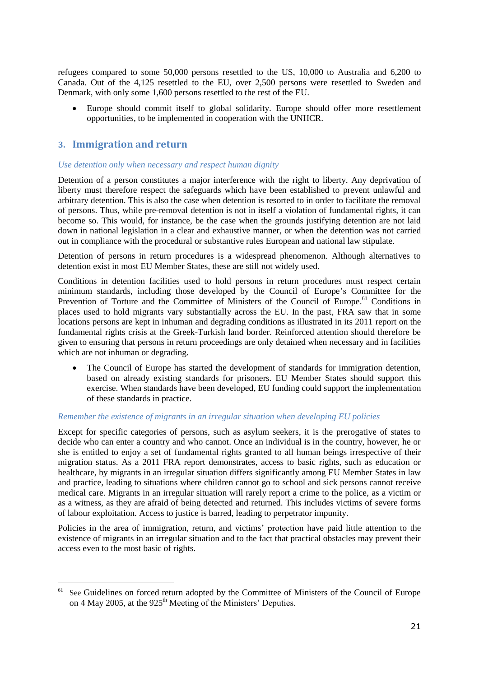refugees compared to some 50,000 persons resettled to the US, 10,000 to Australia and 6,200 to Canada. Out of the 4,125 resettled to the EU, over 2,500 persons were resettled to Sweden and Denmark, with only some 1,600 persons resettled to the rest of the EU.

 Europe should commit itself to global solidarity. Europe should offer more resettlement opportunities, to be implemented in cooperation with the UNHCR.

# **3. Immigration and return**

<u>.</u>

### *Use detention only when necessary and respect human dignity*

Detention of a person constitutes a major interference with the right to liberty. Any deprivation of liberty must therefore respect the safeguards which have been established to prevent unlawful and arbitrary detention. This is also the case when detention is resorted to in order to facilitate the removal of persons. Thus, while pre-removal detention is not in itself a violation of fundamental rights, it can become so. This would, for instance, be the case when the grounds justifying detention are not laid down in national legislation in a clear and exhaustive manner, or when the detention was not carried out in compliance with the procedural or substantive rules European and national law stipulate.

Detention of persons in return procedures is a widespread phenomenon. Although alternatives to detention exist in most EU Member States, these are still not widely used.

Conditions in detention facilities used to hold persons in return procedures must respect certain minimum standards, including those developed by the Council of Europe's Committee for the Prevention of Torture and the Committee of Ministers of the Council of Europe.<sup>61</sup> Conditions in places used to hold migrants vary substantially across the EU. In the past, FRA saw that in some locations persons are kept in inhuman and degrading conditions as illustrated in its 2011 report on the fundamental rights crisis at the Greek-Turkish land border. Reinforced attention should therefore be given to ensuring that persons in return proceedings are only detained when necessary and in facilities which are not inhuman or degrading.

 The Council of Europe has started the development of standards for immigration detention, based on already existing standards for prisoners. EU Member States should support this exercise. When standards have been developed, EU funding could support the implementation of these standards in practice.

#### *Remember the existence of migrants in an irregular situation when developing EU policies*

Except for specific categories of persons, such as asylum seekers, it is the prerogative of states to decide who can enter a country and who cannot. Once an individual is in the country, however, he or she is entitled to enjoy a set of fundamental rights granted to all human beings irrespective of their migration status. As a 2011 FRA report demonstrates, access to basic rights, such as education or healthcare, by migrants in an irregular situation differs significantly among EU Member States in law and practice, leading to situations where children cannot go to school and sick persons cannot receive medical care. Migrants in an irregular situation will rarely report a crime to the police, as a victim or as a witness, as they are afraid of being detected and returned. This includes victims of severe forms of labour exploitation. Access to justice is barred, leading to perpetrator impunity.

Policies in the area of immigration, return, and victims' protection have paid little attention to the existence of migrants in an irregular situation and to the fact that practical obstacles may prevent their access even to the most basic of rights.

<sup>&</sup>lt;sup>61</sup> See Guidelines on forced return adopted by the Committee of Ministers of the Council of Europe on 4 May 2005, at the 925<sup>th</sup> Meeting of the Ministers' Deputies.